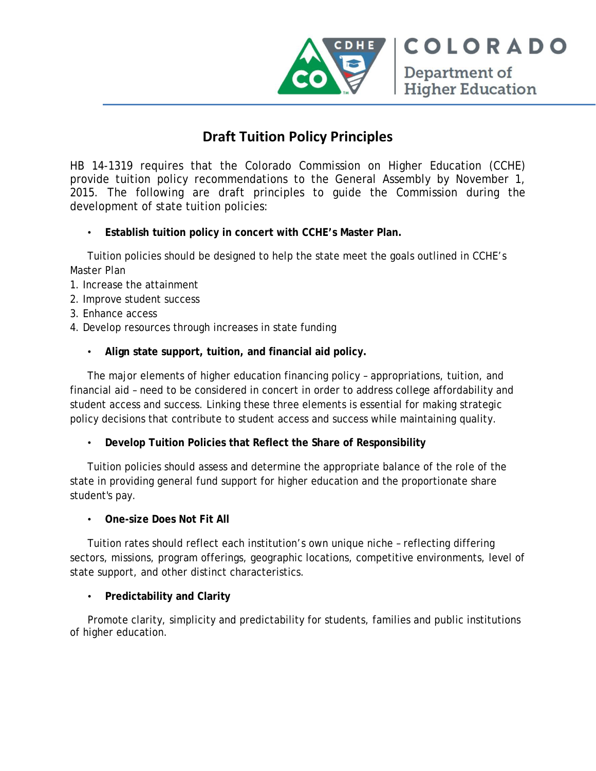

### **Draft Tuition Policy Principles**

HB 14-1319 requires that the Colorado Commission on Higher Education (CCHE) provide tuition policy recommendations to the General Assembly by November 1, 2015. The following are draft principles to guide the Commission during the development of state tuition policies:

• **Establish tuition policy in concert with CCHE's Master Plan.** 

Tuition policies should be designed to help the state meet the goals outlined in CCHE's Master Plan

- 1. Increase the attainment
- 2. Improve student success
- 3. Enhance access
- 4. Develop resources through increases in state funding
	- **Align state support, tuition, and financial aid policy.**

The major elements of higher education financing policy – appropriations, tuition, and financial aid – need to be considered in concert in order to address college affordability and student access and success. Linking these three elements is essential for making strategic policy decisions that contribute to student access and success while maintaining quality.

• **Develop Tuition Policies that Reflect the Share of Responsibility**

Tuition policies should assess and determine the appropriate balance of the role of the state in providing general fund support for higher education and the proportionate share student's pay.

• **One-size Does Not Fit All**

Tuition rates should reflect each institution's own unique niche – reflecting differing sectors, missions, program offerings, geographic locations, competitive environments, level of state support, and other distinct characteristics.

#### • **Predictability and Clarity**

Promote clarity, simplicity and predictability for students, families and public institutions of higher education.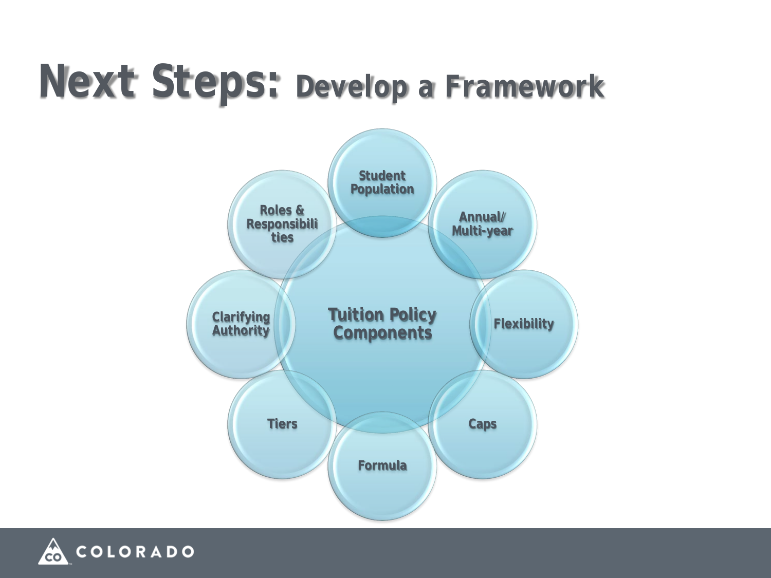## *Next Steps: Develop a Framework*